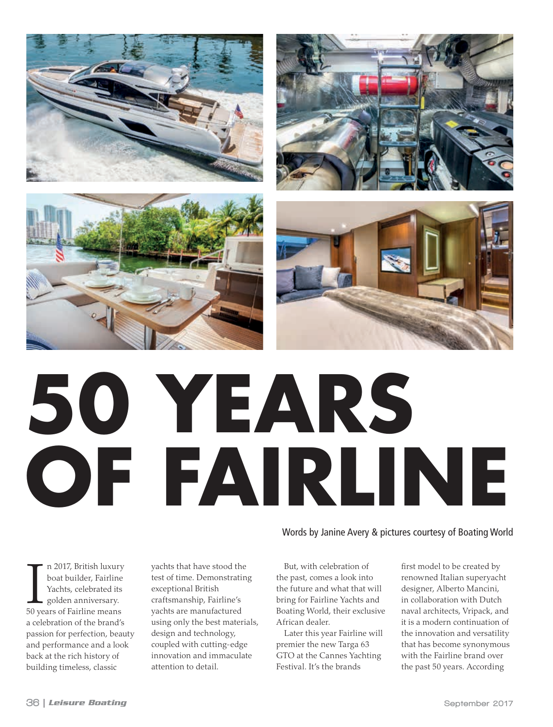







## **50 YEARS OF FAIRLINE**

Words by Janine Avery & pictures courtesy of Boating World

n 2017, British luxury<br>boat builder, Fairline<br>Yachts, celebrated its<br>golden anniversary.<br>50 years of Fairline means n 2017, British luxury boat builder, Fairline Yachts, celebrated its golden anniversary. a celebration of the brand's passion for perfection, beauty and performance and a look back at the rich history of building timeless, classic

yachts that have stood the test of time. Demonstrating exceptional British craftsmanship, Fairline's yachts are manufactured using only the best materials, design and technology, coupled with cutting-edge innovation and immaculate attention to detail.

But, with celebration of the past, comes a look into the future and what that will bring for Fairline Yachts and Boating World, their exclusive African dealer.

Later this year Fairline will premier the new Targa 63 GTO at the Cannes Yachting Festival. It's the brands

first model to be created by renowned Italian superyacht designer, Alberto Mancini, in collaboration with Dutch naval architects, Vripack, and it is a modern continuation of the innovation and versatility that has become synonymous with the Fairline brand over the past 50 years. According